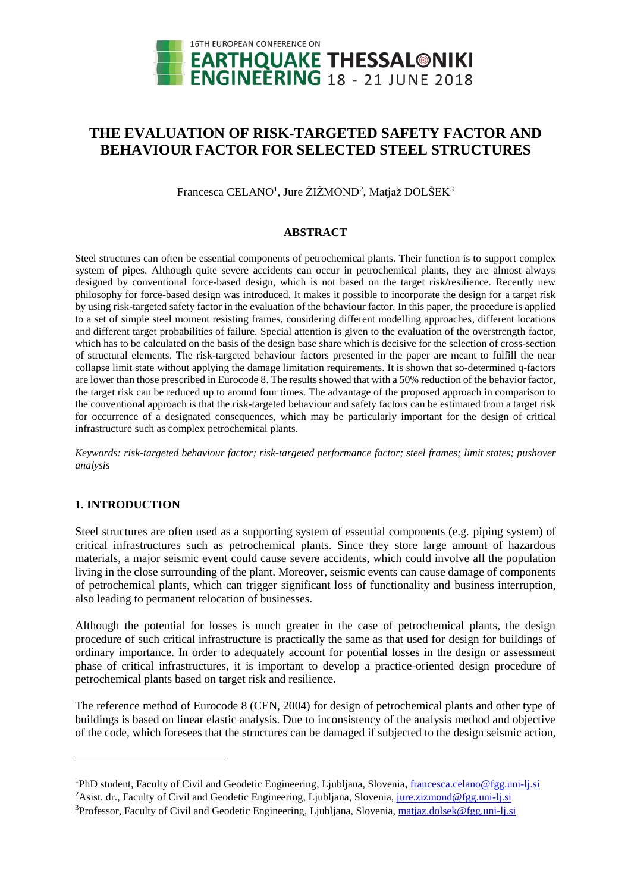

# **THE EVALUATION OF RISK-TARGETED SAFETY FACTOR AND BEHAVIOUR FACTOR FOR SELECTED STEEL STRUCTURES**

Francesca CELANO<sup>1</sup>, Jure ŽIŽMOND<sup>2</sup>, Matjaž DOLŠEK<sup>3</sup>

## **ABSTRACT**

Steel structures can often be essential components of petrochemical plants. Their function is to support complex system of pipes. Although quite severe accidents can occur in petrochemical plants, they are almost always designed by conventional force-based design, which is not based on the target risk/resilience. Recently new philosophy for force-based design was introduced. It makes it possible to incorporate the design for a target risk by using risk-targeted safety factor in the evaluation of the behaviour factor. In this paper, the procedure is applied to a set of simple steel moment resisting frames, considering different modelling approaches, different locations and different target probabilities of failure. Special attention is given to the evaluation of the overstrength factor, which has to be calculated on the basis of the design base share which is decisive for the selection of cross-section of structural elements. The risk-targeted behaviour factors presented in the paper are meant to fulfill the near collapse limit state without applying the damage limitation requirements. It is shown that so-determined q-factors are lower than those prescribed in Eurocode 8. The results showed that with a 50% reduction of the behavior factor, the target risk can be reduced up to around four times. The advantage of the proposed approach in comparison to the conventional approach is that the risk-targeted behaviour and safety factors can be estimated from a target risk for occurrence of a designated consequences, which may be particularly important for the design of critical infrastructure such as complex petrochemical plants.

*Keywords: risk-targeted behaviour factor; risk-targeted performance factor; steel frames; limit states; pushover analysis* 

## **1. INTRODUCTION**

l

Steel structures are often used as a supporting system of essential components (e.g. piping system) of critical infrastructures such as petrochemical plants. Since they store large amount of hazardous materials, a major seismic event could cause severe accidents, which could involve all the population living in the close surrounding of the plant. Moreover, seismic events can cause damage of components of petrochemical plants, which can trigger significant loss of functionality and business interruption, also leading to permanent relocation of businesses.

Although the potential for losses is much greater in the case of petrochemical plants, the design procedure of such critical infrastructure is practically the same as that used for design for buildings of ordinary importance. In order to adequately account for potential losses in the design or assessment phase of critical infrastructures, it is important to develop a practice-oriented design procedure of petrochemical plants based on target risk and resilience.

The reference method of Eurocode 8 (CEN, 2004) for design of petrochemical plants and other type of buildings is based on linear elastic analysis. Due to inconsistency of the analysis method and objective of the code, which foresees that the structures can be damaged if subjected to the design seismic action,

<sup>&</sup>lt;sup>1</sup>PhD student, Faculty of Civil and Geodetic Engineering, Ljubljana, Slovenia, [francesca.celano@f](mailto:francesca.celano@)gg.uni-lj.si

<sup>&</sup>lt;sup>2</sup>Asist. dr., Faculty of Civil and Geodetic Engineering, Ljubliana, Slovenia, [jure.zizmond@f](mailto:jure.zizmond@)gg.uni-lj.si

<sup>&</sup>lt;sup>3</sup>Professor, Faculty of Civil and Geodetic Engineering, Ljubljana, Slovenia[, matjaz.dolsek@f](mailto:matjaz.dolsek@)gg.uni-lj.si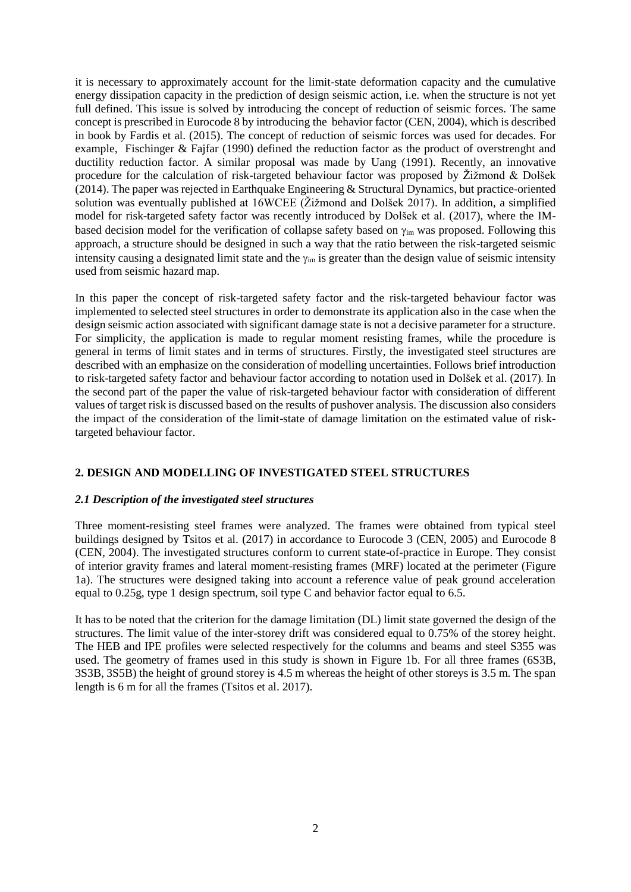it is necessary to approximately account for the limit-state deformation capacity and the cumulative energy dissipation capacity in the prediction of design seismic action, i.e. when the structure is not yet full defined. This issue is solved by introducing the concept of reduction of seismic forces. The same concept is prescribed in Eurocode 8 by introducing the behavior factor (CEN, 2004), which is described in book by Fardis et al. (2015). The concept of reduction of seismic forces was used for decades. For example, Fischinger & Fajfar (1990) defined the reduction factor as the product of overstrenght and ductility reduction factor. A similar proposal was made by Uang (1991). Recently, an innovative procedure for the calculation of risk-targeted behaviour factor was proposed by Žižmond & Dolšek (2014). The paper was rejected in Earthquake Engineering & Structural Dynamics, but practice-oriented solution was eventually published at 16WCEE (Žižmond and Dolšek 2017). In addition, a simplified model for risk-targeted safety factor was recently introduced by Dolšek et al. (2017), where the IMbased decision model for the verification of collapse safety based on  $\gamma_{\rm im}$  was proposed. Following this approach, a structure should be designed in such a way that the ratio between the risk-targeted seismic intensity causing a designated limit state and the  $\gamma_{im}$  is greater than the design value of seismic intensity used from seismic hazard map.

In this paper the concept of risk-targeted safety factor and the risk-targeted behaviour factor was implemented to selected steel structures in order to demonstrate its application also in the case when the design seismic action associated with significant damage state is not a decisive parameter for a structure. For simplicity, the application is made to regular moment resisting frames, while the procedure is general in terms of limit states and in terms of structures. Firstly, the investigated steel structures are described with an emphasize on the consideration of modelling uncertainties. Follows brief introduction to risk-targeted safety factor and behaviour factor according to notation used in Dolšek et al. (2017). In the second part of the paper the value of risk-targeted behaviour factor with consideration of different values of target risk is discussed based on the results of pushover analysis. The discussion also considers the impact of the consideration of the limit-state of damage limitation on the estimated value of risktargeted behaviour factor.

# **2. DESIGN AND MODELLING OF INVESTIGATED STEEL STRUCTURES**

# *2.1 Description of the investigated steel structures*

Three moment-resisting steel frames were analyzed. The frames were obtained from typical steel buildings designed by Tsitos et al. (2017) in accordance to Eurocode 3 (CEN, 2005) and Eurocode 8 (CEN, 2004). The investigated structures conform to current state-of-practice in Europe. They consist of interior gravity frames and lateral moment-resisting frames (MRF) located at the perimeter [\(Figure](#page-2-0)  [1a](#page-2-0)). The structures were designed taking into account a reference value of peak ground acceleration equal to 0.25g, type 1 design spectrum, soil type C and behavior factor equal to 6.5.

It has to be noted that the criterion for the damage limitation (DL) limit state governed the design of the structures. The limit value of the inter-storey drift was considered equal to 0.75% of the storey height. The HEB and IPE profiles were selected respectively for the columns and beams and steel S355 was used. The geometry of frames used in this study is shown in [Figure 1b](#page-2-0). For all three frames (6S3B, 3S3B, 3S5B) the height of ground storey is 4.5 m whereas the height of other storeys is 3.5 m. The span length is 6 m for all the frames (Tsitos et al. 2017).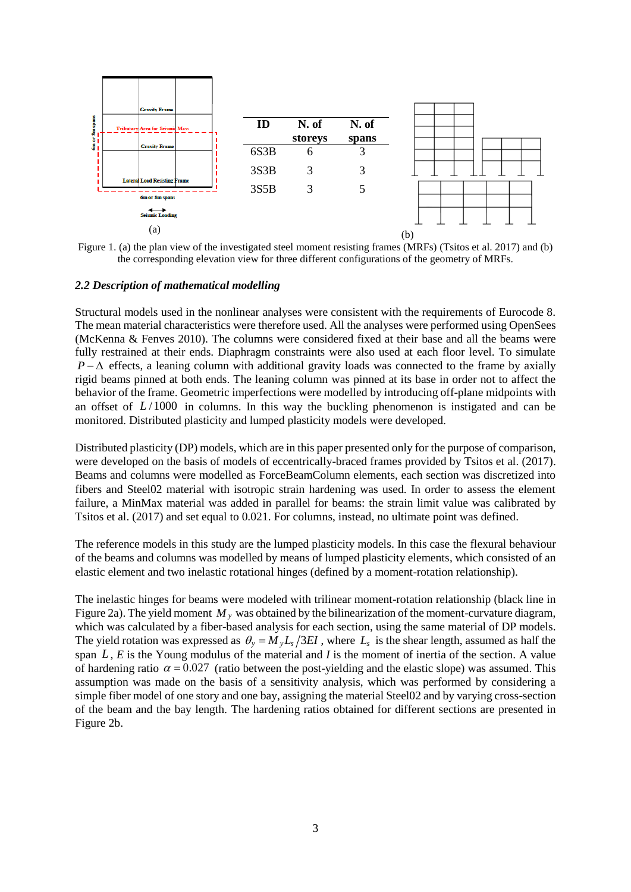

<span id="page-2-0"></span>Figure 1. (a) the plan view of the investigated steel moment resisting frames (MRFs) (Tsitos et al. 2017) and (b) the corresponding elevation view for three different configurations of the geometry of MRFs.

#### *2.2 Description of mathematical modelling*

Structural models used in the nonlinear analyses were consistent with the requirements of Eurocode 8. The mean material characteristics were therefore used. All the analyses were performed using OpenSees (McKenna & Fenves 2010). The columns were considered fixed at their base and all the beams were fully restrained at their ends. Diaphragm constraints were also used at each floor level. To simulate  $P - \Delta$  effects, a leaning column with additional gravity loads was connected to the frame by axially rigid beams pinned at both ends. The leaning column was pinned at its base in order not to affect the behavior of the frame. Geometric imperfections were modelled by introducing off-plane midpoints with an offset of  $L/1000$  in columns. In this way the buckling phenomenon is instigated and can be monitored. Distributed plasticity and lumped plasticity models were developed.

Distributed plasticity (DP) models, which are in this paper presented only for the purpose of comparison, were developed on the basis of models of eccentrically-braced frames provided by Tsitos et al. (2017). Beams and columns were modelled as ForceBeamColumn elements, each section was discretized into fibers and Steel02 material with isotropic strain hardening was used. In order to assess the element failure, a MinMax material was added in parallel for beams: the strain limit value was calibrated by Tsitos et al. (2017) and set equal to 0.021. For columns, instead, no ultimate point was defined.

The reference models in this study are the lumped plasticity models. In this case the flexural behaviour of the beams and columns was modelled by means of lumped plasticity elements, which consisted of an elastic element and two inelastic rotational hinges (defined by a moment-rotation relationship).

The inelastic hinges for beams were modeled with trilinear moment-rotation relationship (black line in Figure 2a). The yield moment  $M<sub>y</sub>$  was obtained by the bilinearization of the moment-curvature diagram, which was calculated by a fiber-based analysis for each section, using the same material of DP models. The yield rotation was expressed as  $\theta_y = M_y L_s / 3EI$ , where  $L_s$  is the shear length, assumed as half the span *L* , *E* is the Young modulus of the material and *I* is the moment of inertia of the section. A value of hardening ratio  $\alpha = 0.027$  (ratio between the post-yielding and the elastic slope) was assumed. This assumption was made on the basis of a sensitivity analysis, which was performed by considering a simple fiber model of one story and one bay, assigning the material Steel02 and by varying cross-section of the beam and the bay length. The hardening ratios obtained for different sections are presented in Figure 2b.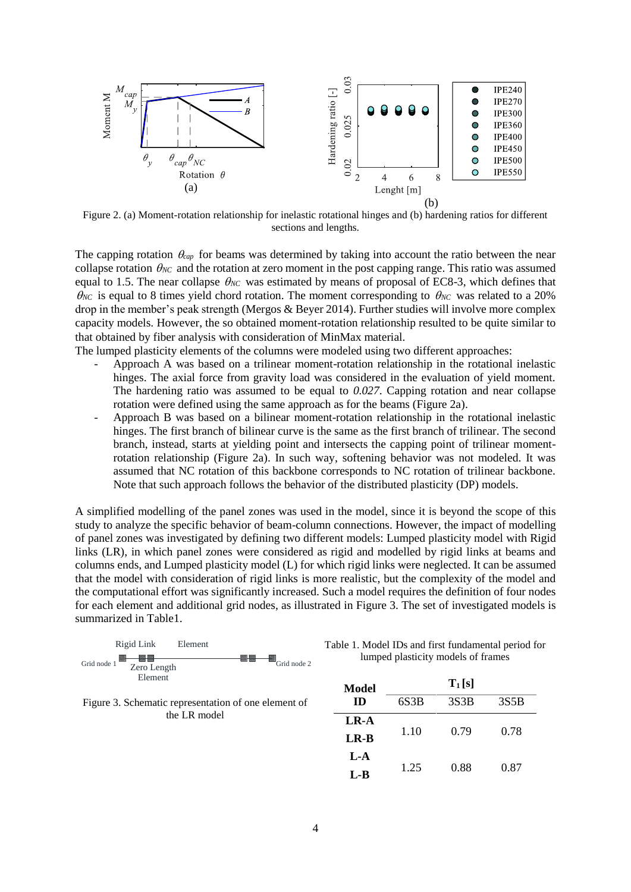

Figure 2. (a) Moment-rotation relationship for inelastic rotational hinges and (b) hardening ratios for different sections and lengths.

The capping rotation  $\theta_{cap}$  for beams was determined by taking into account the ratio between the near collapse rotation  $\theta_{NC}$  and the rotation at zero moment in the post capping range. This ratio was assumed equal to 1.5. The near collapse  $\theta_{NC}$  was estimated by means of proposal of EC8-3, which defines that  $\theta_{NC}$  is equal to 8 times yield chord rotation. The moment corresponding to  $\theta_{NC}$  was related to a 20% drop in the member's peak strength (Mergos & Beyer 2014). Further studies will involve more complex capacity models. However, the so obtained moment-rotation relationship resulted to be quite similar to that obtained by fiber analysis with consideration of MinMax material.

The lumped plasticity elements of the columns were modeled using two different approaches:

- Approach A was based on a trilinear moment-rotation relationship in the rotational inelastic hinges. The axial force from gravity load was considered in the evaluation of yield moment. The hardening ratio was assumed to be equal to *0.027*. Capping rotation and near collapse rotation were defined using the same approach as for the beams (Figure 2a).
- Approach B was based on a bilinear moment-rotation relationship in the rotational inelastic hinges. The first branch of bilinear curve is the same as the first branch of trilinear. The second branch, instead, starts at yielding point and intersects the capping point of trilinear momentrotation relationship (Figure 2a). In such way, softening behavior was not modeled. It was assumed that NC rotation of this backbone corresponds to NC rotation of trilinear backbone. Note that such approach follows the behavior of the distributed plasticity (DP) models.

A simplified modelling of the panel zones was used in the model, since it is beyond the scope of this study to analyze the specific behavior of beam-column connections. However, the impact of modelling of panel zones was investigated by defining two different models: Lumped plasticity model with Rigid links (LR), in which panel zones were considered as rigid and modelled by rigid links at beams and columns ends, and Lumped plasticity model (L) for which rigid links were neglected. It can be assumed that the model with consideration of rigid links is more realistic, but the complexity of the model and the computational effort was significantly increased. Such a model requires the definition of four nodes for each element and additional grid nodes, as illustrated in [Figure 3.](#page-3-0) The set of investigated models is summarized in Table1.



Table 1. Model IDs and first fundamental period for lumped plasticity models of frames

<span id="page-3-0"></span>Figure 3. Schematic representation of one element of the LR model

| Model | $T_1[s]$ |      |      |  |
|-------|----------|------|------|--|
| ID    | 6S3B     | 3S3B | 3S5B |  |
| LR-A  |          |      | 0.78 |  |
| LR-B  | 1.10     | 0.79 |      |  |
| $L-A$ |          |      |      |  |
| L-B   | 1.25     | 0.88 | 0.87 |  |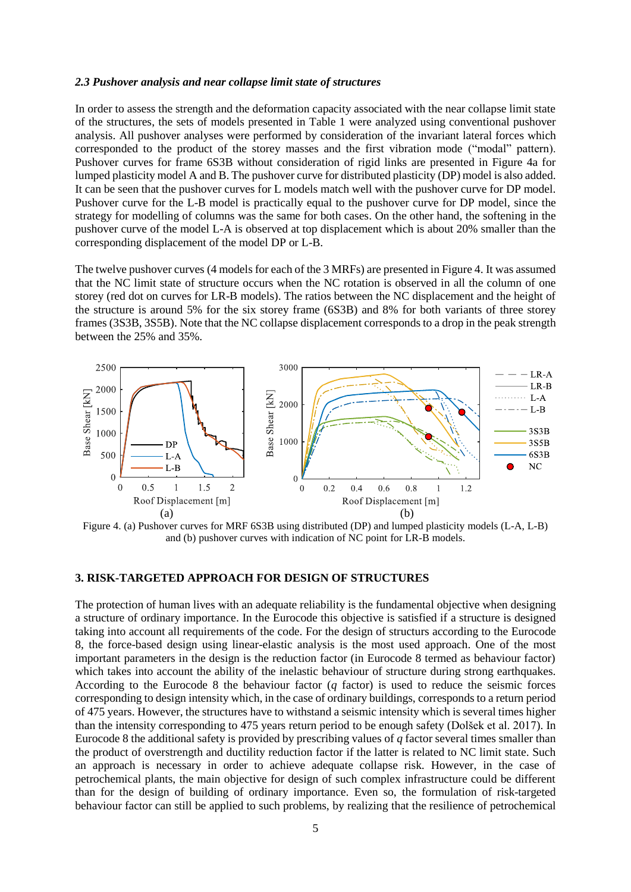#### *2.3 Pushover analysis and near collapse limit state of structures*

In order to assess the strength and the deformation capacity associated with the near collapse limit state of the structures, the sets of models presented in Table 1 were analyzed using conventional pushover analysis. All pushover analyses were performed by consideration of the invariant lateral forces which corresponded to the product of the storey masses and the first vibration mode ("modal" pattern). Pushover curves for frame 6S3B without consideration of rigid links are presented in Figure 4a for lumped plasticity model A and B. The pushover curve for distributed plasticity (DP) model is also added. It can be seen that the pushover curves for L models match well with the pushover curve for DP model. Pushover curve for the L-B model is practically equal to the pushover curve for DP model, since the strategy for modelling of columns was the same for both cases. On the other hand, the softening in the pushover curve of the model L-A is observed at top displacement which is about 20% smaller than the corresponding displacement of the model DP or L-B.

The twelve pushover curves (4 models for each of the 3 MRFs) are presented in Figure 4. It was assumed that the NC limit state of structure occurs when the NC rotation is observed in all the column of one storey (red dot on curves for LR-B models). The ratios between the NC displacement and the height of the structure is around 5% for the six storey frame (6S3B) and 8% for both variants of three storey frames (3S3B, 3S5B). Note that the NC collapse displacement corresponds to a drop in the peak strength between the 25% and 35%.



Figure 4. (a) Pushover curves for MRF 6S3B using distributed (DP) and lumped plasticity models (L-A, L-B) and (b) pushover curves with indication of NC point for LR-B models.

## **3. RISK-TARGETED APPROACH FOR DESIGN OF STRUCTURES**

The protection of human lives with an adequate reliability is the fundamental objective when designing a structure of ordinary importance. In the Eurocode this objective is satisfied if a structure is designed taking into account all requirements of the code. For the design of structurs according to the Eurocode 8, the force-based design using linear-elastic analysis is the most used approach. One of the most important parameters in the design is the reduction factor (in Eurocode 8 termed as behaviour factor) which takes into account the ability of the inelastic behaviour of structure during strong earthquakes. According to the Eurocode 8 the behaviour factor (*q* factor) is used to reduce the seismic forces corresponding to design intensity which, in the case of ordinary buildings, corresponds to a return period of 475 years. However, the structures have to withstand a seismic intensity which is several times higher than the intensity corresponding to 475 years return period to be enough safety (Dolšek et al. 2017). In Eurocode 8 the additional safety is provided by prescribing values of *q* factor several times smaller than the product of overstrength and ductility reduction factor if the latter is related to NC limit state. Such an approach is necessary in order to achieve adequate collapse risk. However, in the case of petrochemical plants, the main objective for design of such complex infrastructure could be different than for the design of building of ordinary importance. Even so, the formulation of risk-targeted behaviour factor can still be applied to such problems, by realizing that the resilience of petrochemical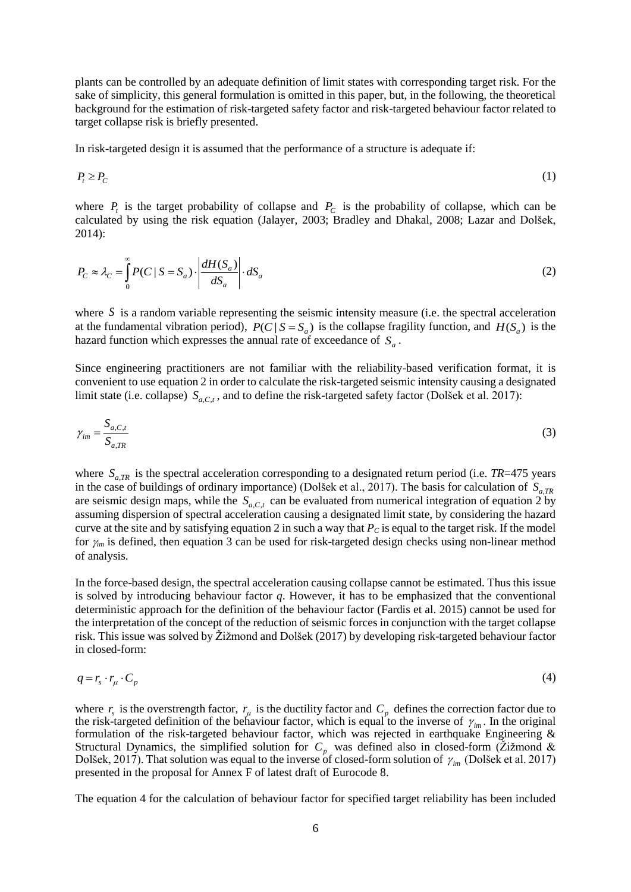plants can be controlled by an adequate definition of limit states with corresponding target risk. For the sake of simplicity, this general formulation is omitted in this paper, but, in the following, the theoretical background for the estimation of risk-targeted safety factor and risk-targeted behaviour factor related to target collapse risk is briefly presented.

In risk-targeted design it is assumed that the performance of a structure is adequate if:

$$
P_t \ge P_C \tag{1}
$$

where  $P_t$  is the target probability of collapse and  $P_c$  is the probability of collapse, which can be calculated by using the risk equation (Jalayer, 2003; Bradley and Dhakal, 2008; Lazar and Dolšek, 2014):

$$
P_C \approx \lambda_C = \int_0^\infty P(C \mid S = S_a) \cdot \left| \frac{dH(S_a)}{dS_a} \right| \cdot dS_a \tag{2}
$$

where S is a random variable representing the seismic intensity measure (i.e. the spectral acceleration at the fundamental vibration period),  $P(C | S = S_a)$  is the collapse fragility function, and  $H(S_a)$  is the hazard function which expresses the annual rate of exceedance of  $S_a$ .

Since engineering practitioners are not familiar with the reliability-based verification format, it is convenient to use equation 2 in order to calculate the risk-targeted seismic intensity causing a designated limit state (i.e. collapse)  $S_{a,C,t}$ , and to define the risk-targeted safety factor (Dolšek et al. 2017):

$$
\gamma_{im} = \frac{S_{a,C,t}}{S_{a,TR}}
$$
 (3)

where  $S_{a,TR}$  is the spectral acceleration corresponding to a designated return period (i.e. *TR*=475 years in the case of buildings of ordinary importance) (Dolšek et al., 2017). The basis for calculation of  $S_{a,TR}$ are seismic design maps, while the  $S_{a,C,t}$  can be evaluated from numerical integration of equation 2 by assuming dispersion of spectral acceleration causing a designated limit state, by considering the hazard curve at the site and by satisfying equation 2 in such a way that  $P<sub>C</sub>$  is equal to the target risk. If the model for  $\gamma_{im}$  is defined, then equation 3 can be used for risk-targeted design checks using non-linear method of analysis.

In the force-based design, the spectral acceleration causing collapse cannot be estimated. Thus this issue is solved by introducing behaviour factor *q*. However, it has to be emphasized that the conventional deterministic approach for the definition of the behaviour factor (Fardis et al. 2015) cannot be used for the interpretation of the concept of the reduction of seismic forces in conjunction with the target collapse risk. This issue was solved by Žižmond and Dolšek (2017) by developing risk-targeted behaviour factor in closed-form:

$$
q = r_s \cdot r_\mu \cdot C_p \tag{4}
$$

where  $r_s$  is the overstrength factor,  $r_\mu$  is the ductility factor and  $C_p$  defines the correction factor due to the risk-targeted definition of the behaviour factor, which is equal to the inverse of  $\gamma_{im}$ . In the original formulation of the risk-targeted behaviour factor, which was rejected in earthquake Engineering & Structural Dynamics, the simplified solution for  $C_p$  was defined also in closed-form ( $\ddot{Z}$ ižmond & Dolšek, 2017). That solution was equal to the inverse of closed-form solution of  $\gamma_{_{im}}$  (Dolšek et al. 2017) presented in the proposal for Annex F of latest draft of Eurocode 8.

The equation 4 for the calculation of behaviour factor for specified target reliability has been included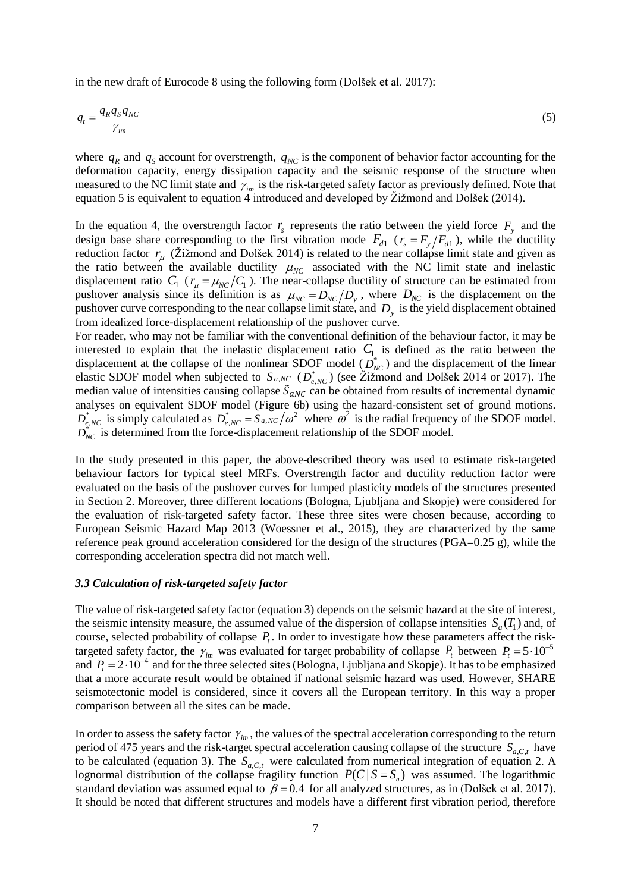in the new draft of Eurocode 8 using the following form (Dolšek et al. 2017):

$$
q_t = \frac{q_R q_S q_{NC}}{\gamma_{im}}\tag{5}
$$

where  $q_R$  and  $q_S$  account for overstrength,  $q_{NC}$  is the component of behavior factor accounting for the deformation capacity, energy dissipation capacity and the seismic response of the structure when measured to the NC limit state and  $\gamma_{im}$  is the risk-targeted safety factor as previously defined. Note that equation 5 is equivalent to equation 4 introduced and developed by Žižmond and Dolšek (2014).

In the equation 4, the overstrength factor  $r<sub>s</sub>$  represents the ratio between the yield force  $F<sub>y</sub>$  and the design base share corresponding to the first vibration mode  $F_{d1}$  ( $r_s = F_y/F_{d1}$ ), while the ductility reduction factor  $r_{\mu}$  (Žižmond and Dolšek 2014) is related to the near collapse limit state and given as the ratio between the available ductility  $\mu_{NC}$  associated with the NC limit state and inelastic displacement ratio  $C_1$  ( $r_\mu = \mu_{NC}/C_1$ ). The near-collapse ductility of structure can be estimated from pushover analysis since its definition is as  $\mu_{NC} = D_{NC}/D_y$ , where  $D_{NC}$  is the displacement on the pushover curve corresponding to the near collapse limit state, and *Dy* is the yield displacement obtained from idealized force-displacement relationship of the pushover curve.

For reader, who may not be familiar with the conventional definition of the behaviour factor, it may be interested to explain that the inelastic displacement ratio  $C_1$  is defined as the ratio between the displacement at the collapse of the nonlinear SDOF model  $(D_{NC}^*)$  and the displacement of the linear elastic SDOF model when subjected to  $S_{a, NC}$  ( $D_{e, NC}^*$ ) (see Žižmond and Dolšek 2014 or 2017). The median value of intensities causing collapse  $\tilde{S}_{aNC}$  can be obtained from results of incremental dynamic analyses on equivalent SDOF model [\(Figure](#page-8-0) 6b) using the hazard-consistent set of ground motions.  $D_{e,NC}^*$  is simply calculated as  $D_{e,NC}^* = S_{a,NC}/\omega^2$  where  $\omega^2$  is the radial frequency of the SDOF model.  $D_{NC}^*$  is determined from the force-displacement relationship of the SDOF model.

In the study presented in this paper, the above-described theory was used to estimate risk-targeted behaviour factors for typical steel MRFs. Overstrength factor and ductility reduction factor were evaluated on the basis of the pushover curves for lumped plasticity models of the structures presented in Section 2. Moreover, three different locations (Bologna, Ljubljana and Skopje) were considered for the evaluation of risk-targeted safety factor. These three sites were chosen because, according to European Seismic Hazard Map 2013 (Woessner et al., 2015), they are characterized by the same reference peak ground acceleration considered for the design of the structures (PGA=0.25 g), while the corresponding acceleration spectra did not match well.

#### *3.3 Calculation of risk-targeted safety factor*

The value of risk-targeted safety factor (equation 3) depends on the seismic hazard at the site of interest, the seismic intensity measure, the assumed value of the dispersion of collapse intensities  $S_a(T_1)$  and, of course, selected probability of collapse  $P_t$ . In order to investigate how these parameters affect the risktargeted safety factor, the  $\gamma_{im}$  was evaluated for target probability of collapse  $P_t$  between  $P_t = 5 \cdot 10^{-5}$ and  $P_t = 2 \cdot 10^{-4}$  and for the three selected sites (Bologna, Ljubljana and Skopje). It has to be emphasized that a more accurate result would be obtained if national seismic hazard was used. However, SHARE seismotectonic model is considered, since it covers all the European territory. In this way a proper comparison between all the sites can be made.

In order to assess the safety factor  $\gamma_{im}$ , the values of the spectral acceleration corresponding to the return period of 475 years and the risk-target spectral acceleration causing collapse of the structure  $S_{a,C,t}$  have to be calculated (equation 3). The  $S_{a,C,t}$  were calculated from numerical integration of equation 2. A lognormal distribution of the collapse fragility function  $P(C | S = S_a)$  was assumed. The logarithmic standard deviation was assumed equal to  $\beta = 0.4$  for all analyzed structures, as in (Dolšek et al. 2017). It should be noted that different structures and models have a different first vibration period, therefore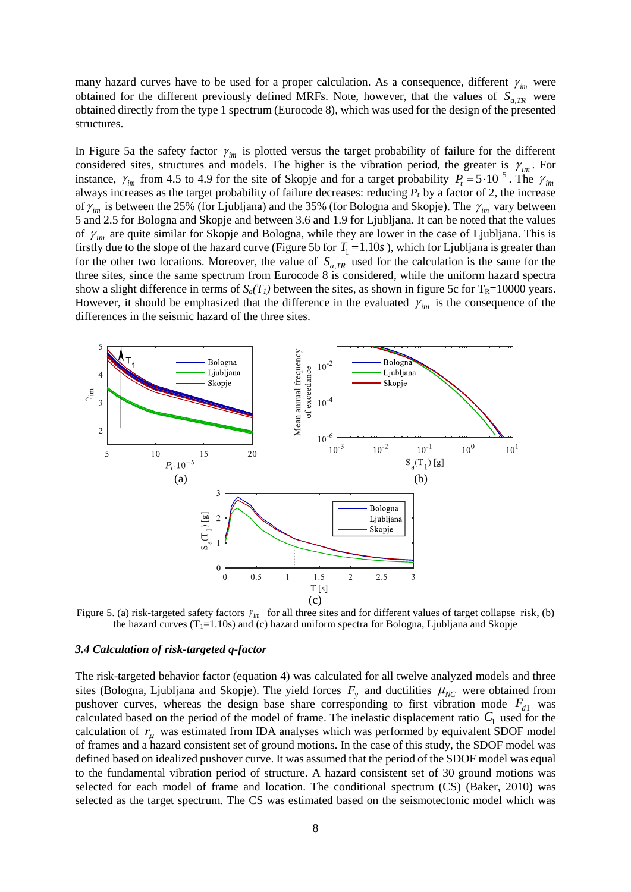many hazard curves have to be used for a proper calculation. As a consequence, different  $\gamma_{im}$  were obtained for the different previously defined MRFs. Note, however, that the values of  $S_{a,TR}$  were obtained directly from the type 1 spectrum (Eurocode 8), which was used for the design of the presented structures.

In Figure 5a the safety factor  $\gamma_{im}$  is plotted versus the target probability of failure for the different considered sites, structures and models. The higher is the vibration period, the greater is  $\gamma_{im}$ . For instance,  $\gamma_{im}$  from 4.5 to 4.9 for the site of Skopje and for a target probability  $P_t = 5 \cdot 10^{-5}$ . The  $\gamma_{im}$ always increases as the target probability of failure decreases: reducing *Pt* by a factor of 2, the increase of  $\gamma_{im}$  is between the 25% (for Ljubljana) and the 35% (for Bologna and Skopje). The  $\gamma_{im}$  vary between 5 and 2.5 for Bologna and Skopje and between 3.6 and 1.9 for Ljubljana. It can be noted that the values of  $\gamma_{im}$  are quite similar for Skopje and Bologna, while they are lower in the case of Ljubljana. This is firstly due to the slope of the hazard curve (Figure 5b for  $T_1 = 1.10s$ ), which for Ljubljana is greater than for the other two locations. Moreover, the value of  $S_{a,TR}$  used for the calculation is the same for the three sites, since the same spectrum from Eurocode 8 is considered, while the uniform hazard spectra show a slight difference in terms of  $S_a(T_I)$  between the sites, as shown in figure 5c for  $T_R$ =10000 years. However, it should be emphasized that the difference in the evaluated  $\gamma_{im}$  is the consequence of the differences in the seismic hazard of the three sites.



Figure 5. (a) risk-targeted safety factors  $\gamma_{im}$  for all three sites and for different values of target collapse risk, (b) the hazard curves  $(T_1=1.10s)$  and (c) hazard uniform spectra for Bologna, Ljubljana and Skopje

#### *3.4 Calculation of risk-targeted q-factor*

The risk-targeted behavior factor (equation 4) was calculated for all twelve analyzed models and three sites (Bologna, Ljubljana and Skopje). The yield forces  $F_y$  and ductilities  $\mu_{NC}$  were obtained from pushover curves, whereas the design base share corresponding to first vibration mode  $F_{d1}$  was calculated based on the period of the model of frame. The inelastic displacement ratio  $C_1$  used for the calculation of  $r_{\mu}$  was estimated from IDA analyses which was performed by equivalent SDOF model of frames and a hazard consistent set of ground motions. In the case of this study, the SDOF model was defined based on idealized pushover curve. It was assumed that the period of the SDOF model was equal to the fundamental vibration period of structure. A hazard consistent set of 30 ground motions was selected for each model of frame and location. The conditional spectrum (CS) (Baker, 2010) was selected as the target spectrum. The CS was estimated based on the seismotectonic model which was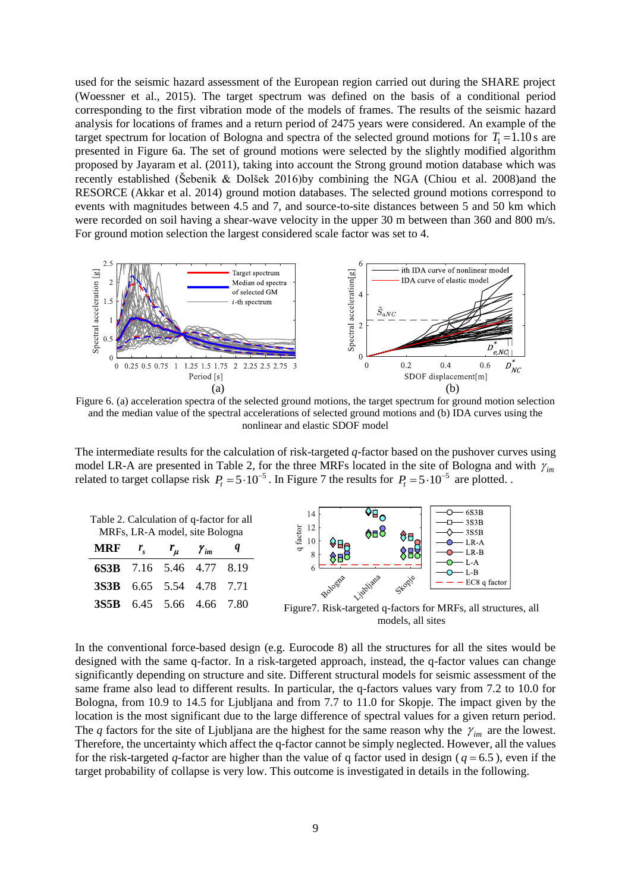used for the seismic hazard assessment of the European region carried out during the SHARE project (Woessner et al., 2015). The target spectrum was defined on the basis of a conditional period corresponding to the first vibration mode of the models of frames. The results of the seismic hazard analysis for locations of frames and a return period of 2475 years were considered. An example of the target spectrum for location of Bologna and spectra of the selected ground motions for  $T_1 = 1.10$  s are presented in Figure 6a. The set of ground motions were selected by the slightly modified algorithm proposed by Jayaram et al. (2011), taking into account the Strong ground motion database which was recently established (Šebenik & Dolšek 2016)by combining the NGA (Chiou et al. 2008)and the RESORCE (Akkar et al. 2014) ground motion databases. The selected ground motions correspond to events with magnitudes between 4.5 and 7, and source-to-site distances between 5 and 50 km which were recorded on soil having a shear-wave velocity in the upper 30 m between than 360 and 800 m/s. For ground motion selection the largest considered scale factor was set to 4.



<span id="page-8-0"></span>Figure 6. (a) acceleration spectra of the selected ground motions, the target spectrum for ground motion selection and the median value of the spectral accelerations of selected ground motions and (b) IDA curves using the nonlinear and elastic SDOF model

The intermediate results for the calculation of risk-targeted *q*-factor based on the pushover curves using model LR-A are presented in [Table 2,](#page-8-1) for the three MRFs located in the site of Bologna and with  $\gamma_{im}$ related to target collapse risk  $P_t = 5 \cdot 10^{-5}$ . In Figure 7 the results for  $P_t = 5 \cdot 10^{-5}$  are plotted.

<span id="page-8-1"></span>

| Table 2. Calculation of q-factor for all<br>MRFs, LR-A model, site Bologna |  |  |  |  |  |  |
|----------------------------------------------------------------------------|--|--|--|--|--|--|
| <b>MRF</b> $r_s$ $r_\mu$ $\gamma_{im}$                                     |  |  |  |  |  |  |
| 6S3B 7.16 5.46 4.77 8.19                                                   |  |  |  |  |  |  |
| <b>3S3B</b> 6.65 5.54 4.78 7.71                                            |  |  |  |  |  |  |
| <b>3S5B</b> 6.45 5.66 4.66 7.80                                            |  |  |  |  |  |  |



models, all sites

In the conventional force-based design (e.g. Eurocode 8) all the structures for all the sites would be designed with the same q-factor. In a risk-targeted approach, instead, the q-factor values can change significantly depending on structure and site. Different structural models for seismic assessment of the same frame also lead to different results. In particular, the q-factors values vary from 7.2 to 10.0 for Bologna, from 10.9 to 14.5 for Ljubljana and from 7.7 to 11.0 for Skopje. The impact given by the location is the most significant due to the large difference of spectral values for a given return period. The *q* factors for the site of Ljubljana are the highest for the same reason why the  $\gamma_{im}$  are the lowest. Therefore, the uncertainty which affect the q-factor cannot be simply neglected. However, all the values for the risk-targeted  $q$ -factor are higher than the value of q factor used in design ( $q = 6.5$ ), even if the target probability of collapse is very low. This outcome is investigated in details in the following.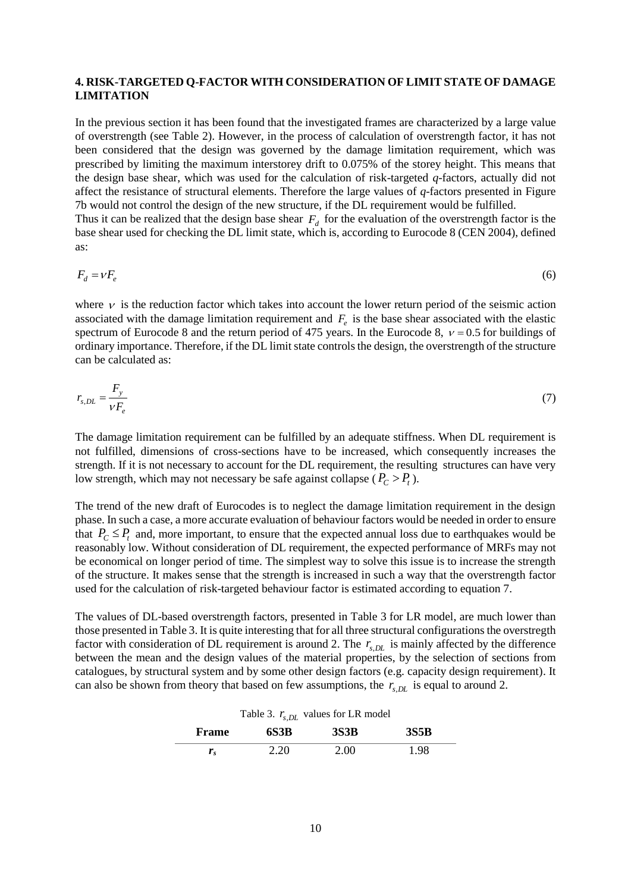## **4. RISK-TARGETED Q-FACTOR WITH CONSIDERATION OF LIMIT STATE OF DAMAGE LIMITATION**

In the previous section it has been found that the investigated frames are characterized by a large value of overstrength (see [Table 2\)](#page-8-1). However, in the process of calculation of overstrength factor, it has not been considered that the design was governed by the damage limitation requirement, which was prescribed by limiting the maximum interstorey drift to 0.075% of the storey height. This means that the design base shear, which was used for the calculation of risk-targeted *q*-factors, actually did not affect the resistance of structural elements. Therefore the large values of *q*-factors presented in Figure 7b would not control the design of the new structure, if the DL requirement would be fulfilled.

Thus it can be realized that the design base shear  $F_d$  for the evaluation of the overstrength factor is the base shear used for checking the DL limit state, which is, according to Eurocode 8 (CEN 2004), defined as:

$$
F_d = vF_e \tag{6}
$$

where  $\nu$  is the reduction factor which takes into account the lower return period of the seismic action associated with the damage limitation requirement and  $F_e$  is the base shear associated with the elastic spectrum of Eurocode 8 and the return period of 475 years. In the Eurocode 8,  $v = 0.5$  for buildings of ordinary importance. Therefore, if the DL limit state controls the design, the overstrength of the structure can be calculated as:

$$
r_{s,DL} = \frac{F_y}{V F_e} \tag{7}
$$

The damage limitation requirement can be fulfilled by an adequate stiffness. When DL requirement is not fulfilled, dimensions of cross-sections have to be increased, which consequently increases the strength. If it is not necessary to account for the DL requirement, the resulting structures can have very low strength, which may not necessary be safe against collapse  $(P_C > P_t)$ .

The trend of the new draft of Eurocodes is to neglect the damage limitation requirement in the design phase. In such a case, a more accurate evaluation of behaviour factors would be needed in order to ensure that  $P_C \leq P_t$  and, more important, to ensure that the expected annual loss due to earthquakes would be reasonably low. Without consideration of DL requirement, the expected performance of MRFs may not be economical on longer period of time. The simplest way to solve this issue is to increase the strength of the structure. It makes sense that the strength is increased in such a way that the overstrength factor used for the calculation of risk-targeted behaviour factor is estimated according to equation 7.

The values of DL-based overstrength factors, presented in Table 3 for LR model, are much lower than those presented in Table 3. It is quite interesting that for all three structural configurations the overstregth factor with consideration of DL requirement is around 2. The  $r_{s,DL}$  is mainly affected by the difference between the mean and the design values of the material properties, by the selection of sections from catalogues, by structural system and by some other design factors (e.g. capacity design requirement). It can also be shown from theory that based on few assumptions, the  $r_{s,DL}$  is equal to around 2.

| Table 3. $r_{s,DL}$ values for LR model |  |
|-----------------------------------------|--|
|-----------------------------------------|--|

| Frame          | 6S3B | <b>3S3B</b> | <b>3S5B</b> |
|----------------|------|-------------|-------------|
| $\mathbf{r}_s$ | 2.20 | 2.00        | .98         |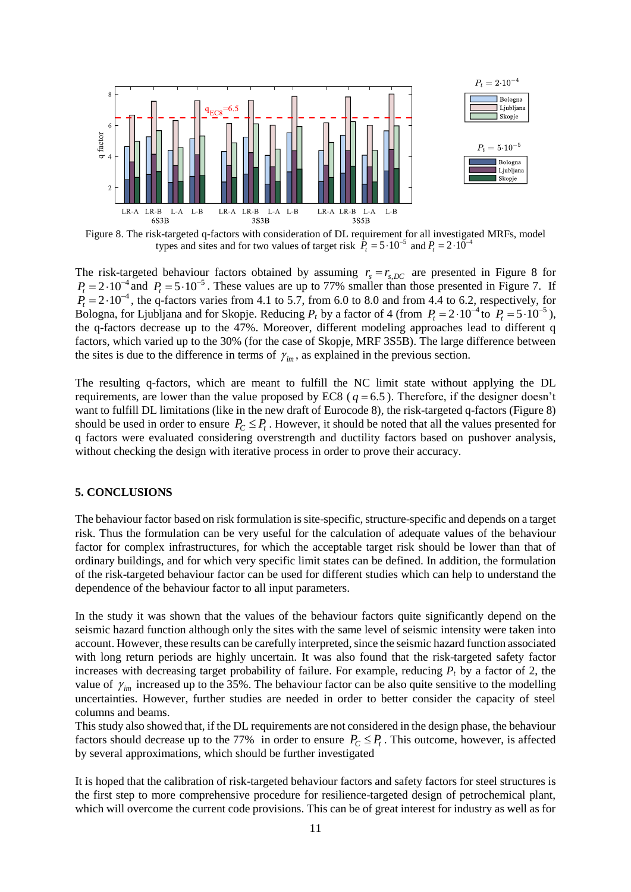

Figure 8. The risk-targeted q-factors with consideration of DL requirement for all investigated MRFs, model types and sites and for two values of target risk  $\hat{P}_t = 5 \cdot 10^{-5}$  and  $P_t = 2 \cdot 10^{-4}$ 

The risk-targeted behaviour factors obtained by assuming  $r_s = r_{s,DC}$  are presented in Figure 8 for  $P_t = 2 \cdot 10^{-4}$  and  $P_t = 5 \cdot 10^{-5}$ . These values are up to 77% smaller than those presented in Figure 7. If  $P_t = 2 \cdot 10^{-4}$ , the q-factors varies from 4.1 to 5.7, from 6.0 to 8.0 and from 4.4 to 6.2, respectively, for Bologna, for Ljubljana and for Skopje. Reducing  $P_t$  by a factor of 4 (from  $P_t = 2 \cdot 10^{-4}$  to  $P_t = 5 \cdot 10^{-5}$ ), the q-factors decrease up to the 47%. Moreover, different modeling approaches lead to different q factors, which varied up to the 30% (for the case of Skopje, MRF 3S5B). The large difference between the sites is due to the difference in terms of  $\gamma_{im}$ , as explained in the previous section.

The resulting q-factors, which are meant to fulfill the NC limit state without applying the DL requirements, are lower than the value proposed by EC8 ( $q = 6.5$ ). Therefore, if the designer doesn't want to fulfill DL limitations (like in the new draft of Eurocode 8), the risk-targeted q-factors (Figure 8) should be used in order to ensure  $P_C \leq P_t$ . However, it should be noted that all the values presented for q factors were evaluated considering overstrength and ductility factors based on pushover analysis, without checking the design with iterative process in order to prove their accuracy.

## **5. CONCLUSIONS**

The behaviour factor based on risk formulation is site-specific, structure-specific and depends on a target risk. Thus the formulation can be very useful for the calculation of adequate values of the behaviour factor for complex infrastructures, for which the acceptable target risk should be lower than that of ordinary buildings, and for which very specific limit states can be defined. In addition, the formulation of the risk-targeted behaviour factor can be used for different studies which can help to understand the dependence of the behaviour factor to all input parameters.

In the study it was shown that the values of the behaviour factors quite significantly depend on the seismic hazard function although only the sites with the same level of seismic intensity were taken into account. However, these results can be carefully interpreted, since the seismic hazard function associated with long return periods are highly uncertain. It was also found that the risk-targeted safety factor increases with decreasing target probability of failure. For example, reducing  $P_t$  by a factor of 2, the value of  $\gamma_{im}$  increased up to the 35%. The behaviour factor can be also quite sensitive to the modelling uncertainties. However, further studies are needed in order to better consider the capacity of steel columns and beams.

This study also showed that, if the DL requirements are not considered in the design phase, the behaviour factors should decrease up to the 77% in order to ensure  $P_C \leq P_t$ . This outcome, however, is affected by several approximations, which should be further investigated

It is hoped that the calibration of risk-targeted behaviour factors and safety factors for steel structures is the first step to more comprehensive procedure for resilience-targeted design of petrochemical plant, which will overcome the current code provisions. This can be of great interest for industry as well as for